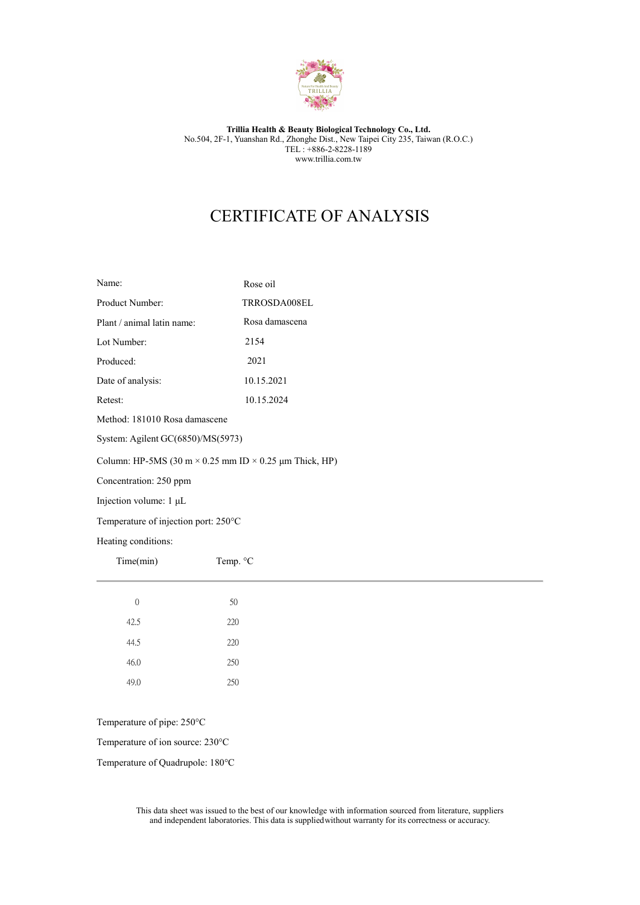

### Trillia Health & Beauty Biological Technology Co., Ltd. No.504, 2F-1, Yuanshan Rd., Zhonghe Dist., New Taipei City 235, Taiwan (R.O.C.) TEL : +886-2-8228-1189 www.trillia.com.tw

## CERTIFICATE OF ANALYSIS

| Name:                                                                                                                                                                                                                                                         | Rose oil       |  |  |  |  |  |  |  |           |          |
|---------------------------------------------------------------------------------------------------------------------------------------------------------------------------------------------------------------------------------------------------------------|----------------|--|--|--|--|--|--|--|-----------|----------|
| Product Number:                                                                                                                                                                                                                                               | TRROSDA008EL   |  |  |  |  |  |  |  |           |          |
| Plant / animal latin name:                                                                                                                                                                                                                                    | Rosa damascena |  |  |  |  |  |  |  |           |          |
| Lot Number:                                                                                                                                                                                                                                                   | 2154           |  |  |  |  |  |  |  |           |          |
| Produced:                                                                                                                                                                                                                                                     | 2021           |  |  |  |  |  |  |  |           |          |
| Date of analysis:                                                                                                                                                                                                                                             | 10.15.2021     |  |  |  |  |  |  |  |           |          |
| Retest:                                                                                                                                                                                                                                                       | 10.15.2024     |  |  |  |  |  |  |  |           |          |
| Method: 181010 Rosa damascene<br>System: Agilent GC(6850)/MS(5973)<br>Column: HP-5MS (30 m $\times$ 0.25 mm ID $\times$ 0.25 µm Thick, HP)<br>Concentration: 250 ppm<br>Injection volume: 1 µL<br>Temperature of injection port: 250°C<br>Heating conditions: |                |  |  |  |  |  |  |  |           |          |
|                                                                                                                                                                                                                                                               |                |  |  |  |  |  |  |  | Time(min) | Temp. °C |
|                                                                                                                                                                                                                                                               |                |  |  |  |  |  |  |  | $\theta$  | 50       |
|                                                                                                                                                                                                                                                               |                |  |  |  |  |  |  |  | 42.5      | 220      |
|                                                                                                                                                                                                                                                               |                |  |  |  |  |  |  |  | 44.5      | 220      |
|                                                                                                                                                                                                                                                               |                |  |  |  |  |  |  |  | 46.0      | 250      |
|                                                                                                                                                                                                                                                               |                |  |  |  |  |  |  |  | 49.0      | 250      |

Temperature of pipe: 250°C

Temperature of ion source: 230°C

Temperature of Quadrupole: 180°C

This data sheet was issued to the best of our knowledge with information sourced from literature, suppliers and independent laboratories. This data is supplied without warranty for its correctness or accuracy.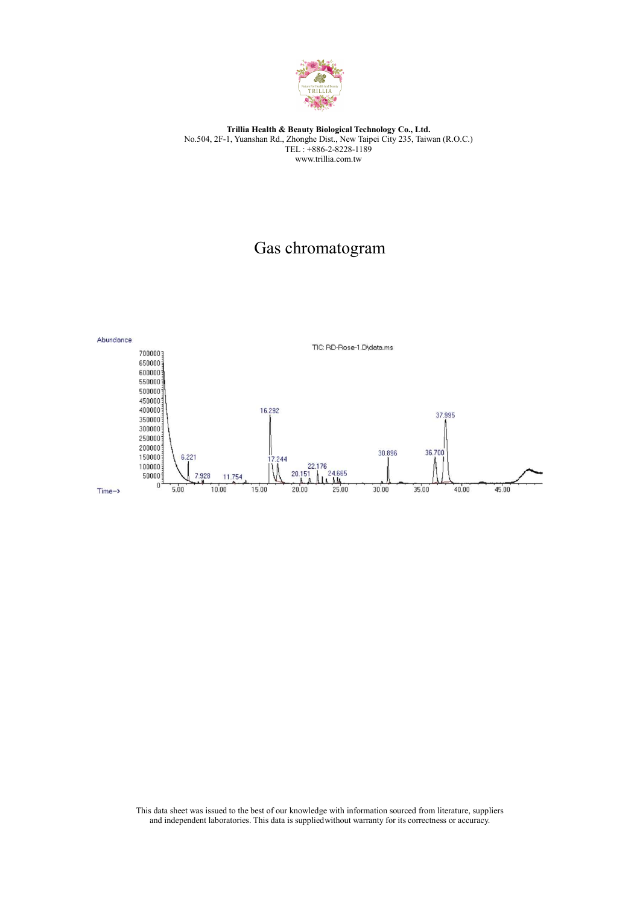

### Trillia Health & Beauty Biological Technology Co., Ltd. No.504, 2F-1, Yuanshan Rd., Zhonghe Dist., New Taipei City 235, Taiwan (R.O.C.) TEL : +886-2-8228-1189 www.trillia.com.tw

# Gas chromatogram



This data sheet was issued to the best of our knowledge with information sourced from literature, suppliers and independent laboratories. This data is supplied without warranty for its correctness or accuracy.